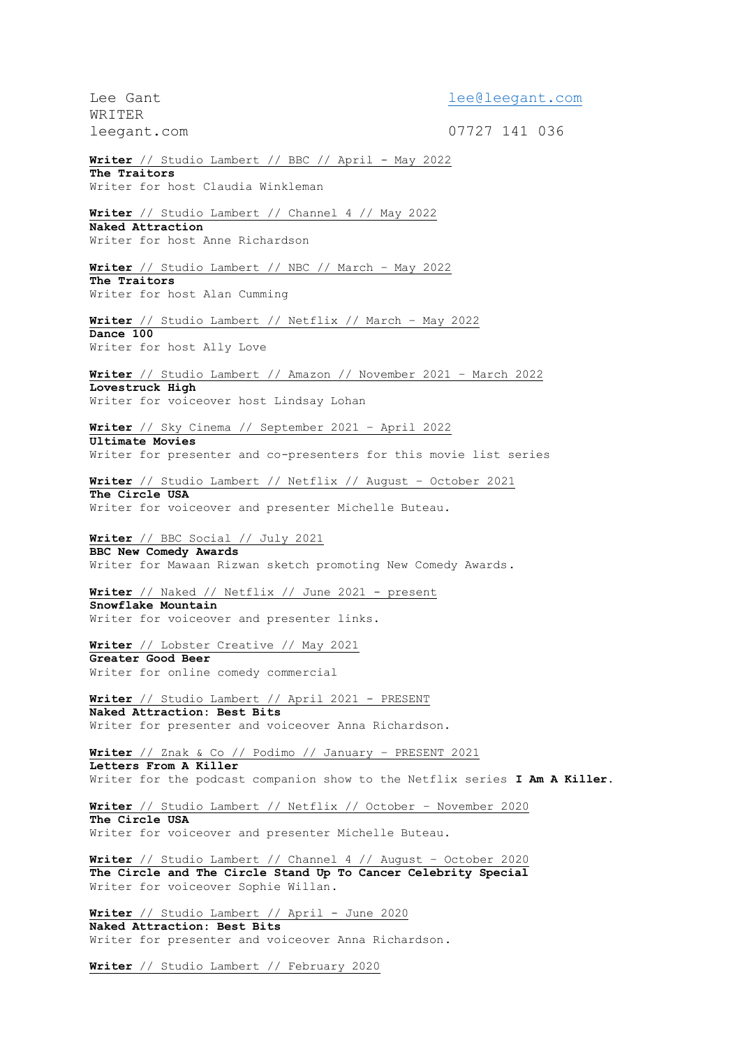Lee Gant and the community of the leed leed and community of the leed leed and the community of the left of the  $\ln M$ WRITER leegant.com 07727 141 036 **Writer** // Studio Lambert // BBC // April - May 2022 **The Traitors** Writer for host Claudia Winkleman **Writer** // Studio Lambert // Channel 4 // May 2022 **Naked Attraction** Writer for host Anne Richardson **Writer** // Studio Lambert // NBC // March – May 2022 **The Traitors** Writer for host Alan Cumming **Writer** // Studio Lambert // Netflix // March – May 2022 **Dance 100** Writer for host Ally Love **Writer** // Studio Lambert // Amazon // November 2021 – March 2022 **Lovestruck High** Writer for voiceover host Lindsay Lohan **Writer** // Sky Cinema // September 2021 – April 2022 **Ultimate Movies** Writer for presenter and co-presenters for this movie list series **Writer** // Studio Lambert // Netflix // August – October 2021 **The Circle USA** Writer for voiceover and presenter Michelle Buteau. **Writer** // BBC Social // July 2021 **BBC New Comedy Awards** Writer for Mawaan Rizwan sketch promoting New Comedy Awards. **Writer** // Naked // Netflix // June 2021 - present **Snowflake Mountain** Writer for voiceover and presenter links. **Writer** // Lobster Creative // May 2021 **Greater Good Beer** Writer for online comedy commercial **Writer** // Studio Lambert // April 2021 - PRESENT **Naked Attraction: Best Bits** Writer for presenter and voiceover Anna Richardson. **Writer** // Znak & Co // Podimo // January – PRESENT 2021 **Letters From A Killer** Writer for the podcast companion show to the Netflix series **I Am A Killer. Writer** // Studio Lambert // Netflix // October – November 2020 **The Circle USA** Writer for voiceover and presenter Michelle Buteau. **Writer** // Studio Lambert // Channel 4 // August – October 2020 **The Circle and The Circle Stand Up To Cancer Celebrity Special** Writer for voiceover Sophie Willan. **Writer** // Studio Lambert // April - June 2020 **Naked Attraction: Best Bits** Writer for presenter and voiceover Anna Richardson.

**Writer** // Studio Lambert // February 2020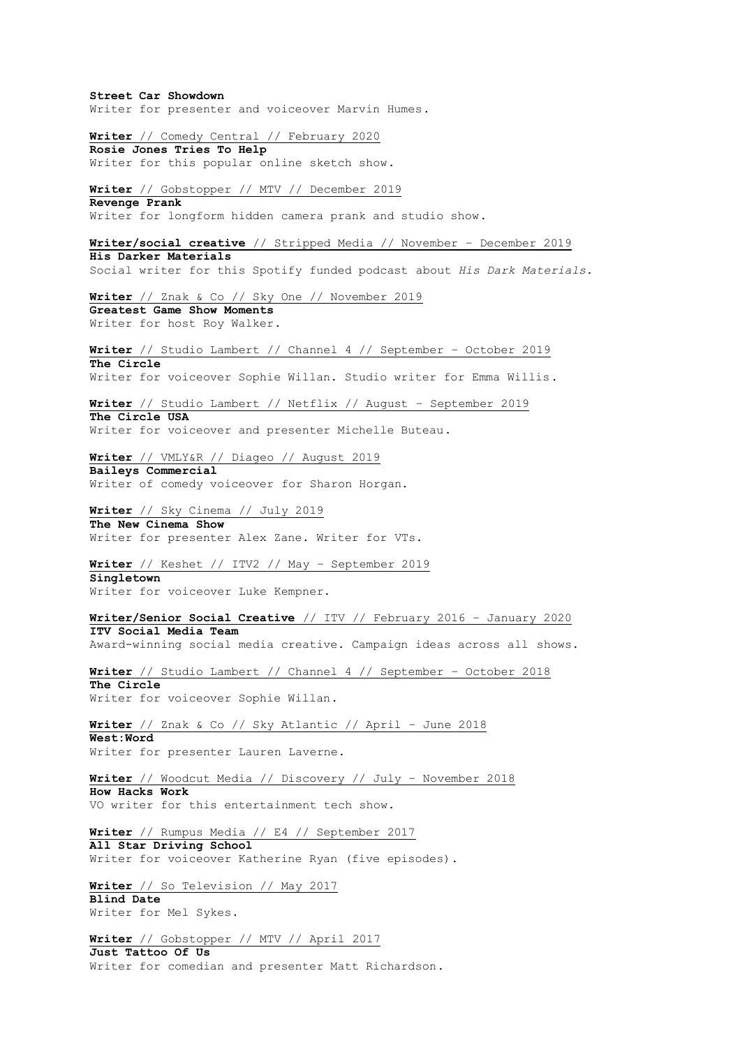**Street Car Showdown** Writer for presenter and voiceover Marvin Humes. **Writer** // Comedy Central // February 2020 **Rosie Jones Tries To Help** Writer for this popular online sketch show. **Writer** // Gobstopper // MTV // December 2019 **Revenge Prank** Writer for longform hidden camera prank and studio show. **Writer/social creative** // Stripped Media // November – December 2019 **His Darker Materials** Social writer for this Spotify funded podcast about *His Dark Materials.* **Writer** // Znak & Co // Sky One // November 2019 **Greatest Game Show Moments** Writer for host Roy Walker. **Writer** // Studio Lambert // Channel 4 // September – October 2019 **The Circle** Writer for voiceover Sophie Willan. Studio writer for Emma Willis. **Writer** // Studio Lambert // Netflix // August – September 2019 **The Circle USA** Writer for voiceover and presenter Michelle Buteau. **Writer** // VMLY&R // Diageo // August 2019 **Baileys Commercial** Writer of comedy voiceover for Sharon Horgan. **Writer** // Sky Cinema // July 2019 **The New Cinema Show** Writer for presenter Alex Zane. Writer for VTs. **Writer** // Keshet // ITV2 // May – September 2019 **Singletown** Writer for voiceover Luke Kempner. **Writer/Senior Social Creative** // ITV // February 2016 – January 2020 **ITV Social Media Team** Award-winning social media creative. Campaign ideas across all shows. **Writer** // Studio Lambert // Channel 4 // September – October 2018 **The Circle** Writer for voiceover Sophie Willan. **Writer** // Znak & Co // Sky Atlantic // April – June 2018 **West:Word** Writer for presenter Lauren Laverne. **Writer** // Woodcut Media // Discovery // July – November 2018 **How Hacks Work** VO writer for this entertainment tech show. **Writer** // Rumpus Media // E4 // September 2017 **All Star Driving School** Writer for voiceover Katherine Ryan (five episodes). **Writer** // So Television // May 2017 **Blind Date** Writer for Mel Sykes. **Writer** // Gobstopper // MTV // April 2017 **Just Tattoo Of Us** Writer for comedian and presenter Matt Richardson.